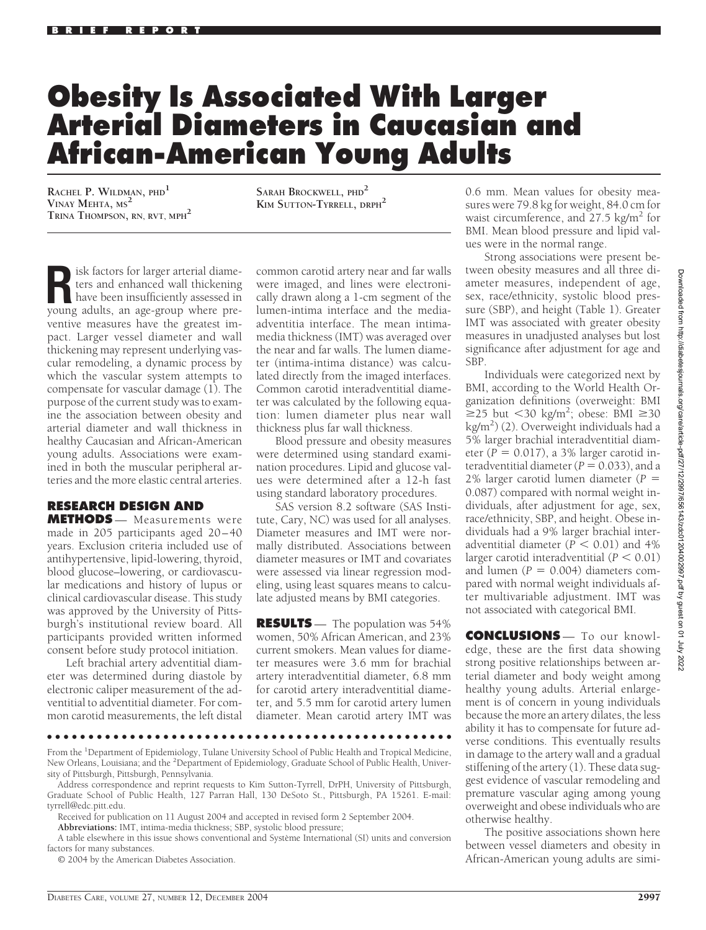## **Obesity Is Associated With Larger Arterial Diameters in Caucasian and African-American Young Adults**

**RACHEL P. WILDMAN, PHD<sup>1</sup> VINAY MEHTA, MS<sup>2</sup> TRINA THOMPSON, RN, RVT, MPH<sup>2</sup>** **SARAH BROCKWELL, PHD<sup>2</sup> KIM SUTTON-TYRRELL, DRPH<sup>2</sup>**

**R** isk factors for larger arterial diame-<br>ters and enhanced wall thickening<br>have been insufficiently assessed in<br>voung adults an age-group where preters and enhanced wall thickening young adults, an age-group where preventive measures have the greatest impact. Larger vessel diameter and wall thickening may represent underlying vascular remodeling, a dynamic process by which the vascular system attempts to compensate for vascular damage (1). The purpose of the current study was to examine the association between obesity and arterial diameter and wall thickness in healthy Caucasian and African-American young adults. Associations were examined in both the muscular peripheral arteries and the more elastic central arteries.

## **RESEARCH DESIGN AND**

**METHODS** — Measurements were made in 205 participants aged 20-40 years. Exclusion criteria included use of antihypertensive, lipid-lowering, thyroid, blood glucose–lowering, or cardiovascular medications and history of lupus or clinical cardiovascular disease. This study was approved by the University of Pittsburgh's institutional review board. All participants provided written informed consent before study protocol initiation.

Left brachial artery adventitial diameter was determined during diastole by electronic caliper measurement of the adventitial to adventitial diameter. For common carotid measurements, the left distal

common carotid artery near and far walls were imaged, and lines were electronically drawn along a 1-cm segment of the lumen-intima interface and the mediaadventitia interface. The mean intimamedia thickness (IMT) was averaged over the near and far walls. The lumen diameter (intima-intima distance) was calculated directly from the imaged interfaces. Common carotid interadventitial diameter was calculated by the following equation: lumen diameter plus near wall thickness plus far wall thickness.

Blood pressure and obesity measures were determined using standard examination procedures. Lipid and glucose values were determined after a 12-h fast using standard laboratory procedures.

SAS version 8.2 software (SAS Institute, Cary, NC) was used for all analyses. Diameter measures and IMT were normally distributed. Associations between diameter measures or IMT and covariates were assessed via linear regression modeling, using least squares means to calculate adjusted means by BMI categories.

**RESULTS** — The population was 54% women, 50% African American, and 23% current smokers. Mean values for diameter measures were 3.6 mm for brachial artery interadventitial diameter, 6.8 mm for carotid artery interadventitial diameter, and 5.5 mm for carotid artery lumen diameter. Mean carotid artery IMT was

0.6 mm. Mean values for obesity measures were 79.8 kg for weight, 84.0 cm for waist circumference, and  $27.5 \text{ kg/m}^2$  for BMI. Mean blood pressure and lipid values were in the normal range.

Strong associations were present between obesity measures and all three diameter measures, independent of age, sex, race/ethnicity, systolic blood pressure (SBP), and height (Table 1). Greater IMT was associated with greater obesity measures in unadjusted analyses but lost significance after adjustment for age and SBP.

Individuals were categorized next by BMI, according to the World Health Organization definitions (overweight: BMI  $\geq$ 25 but <30 kg/m<sup>2</sup>; obese: BMI  $\geq$ 30 kg/m2 ) (2). Overweight individuals had a 5% larger brachial interadventitial diameter  $(P = 0.017)$ , a 3% larger carotid interadventitial diameter  $(P = 0.033)$ , and a 2% larger carotid lumen diameter (*P* - 0.087) compared with normal weight individuals, after adjustment for age, sex, race/ethnicity, SBP, and height. Obese individuals had a 9% larger brachial interadventitial diameter ( $\overline{P}$  < 0.01) and 4% larger carotid interadventitial  $(P < 0.01)$ and lumen  $(P = 0.004)$  diameters compared with normal weight individuals after multivariable adjustment. IMT was not associated with categorical BMI.

**CONCLUSIONS** — To our knowledge, these are the first data showing strong positive relationships between arterial diameter and body weight among healthy young adults. Arterial enlargement is of concern in young individuals because the more an artery dilates, the less ability it has to compensate for future adverse conditions. This eventually results in damage to the artery wall and a gradual stiffening of the artery (1). These data suggest evidence of vascular remodeling and premature vascular aging among young overweight and obese individuals who are otherwise healthy.

The positive associations shown here between vessel diameters and obesity in African-American young adults are simi-

●●●●●●●●●●●●●●●●●●●●●●●●●●●●●●●●●●●●●●●●●●●●●●●●●

From the <sup>1</sup>Department of Epidemiology, Tulane University School of Public Health and Tropical Medicine, New Orleans, Louisiana; and the <sup>2</sup>Department of Epidemiology, Graduate School of Public Health, University of Pittsburgh, Pittsburgh, Pennsylvania.

© 2004 by the American Diabetes Association.

Address correspondence and reprint requests to Kim Sutton-Tyrrell, DrPH, University of Pittsburgh, Graduate School of Public Health, 127 Parran Hall, 130 DeSoto St., Pittsburgh, PA 15261. E-mail: tyrrell@edc.pitt.edu.

Received for publication on 11 August 2004 and accepted in revised form 2 September 2004.

**Abbreviations:** IMT, intima-media thickness; SBP, systolic blood pressure;

A table elsewhere in this issue shows conventional and Système International (SI) units and conversion factors for many substances.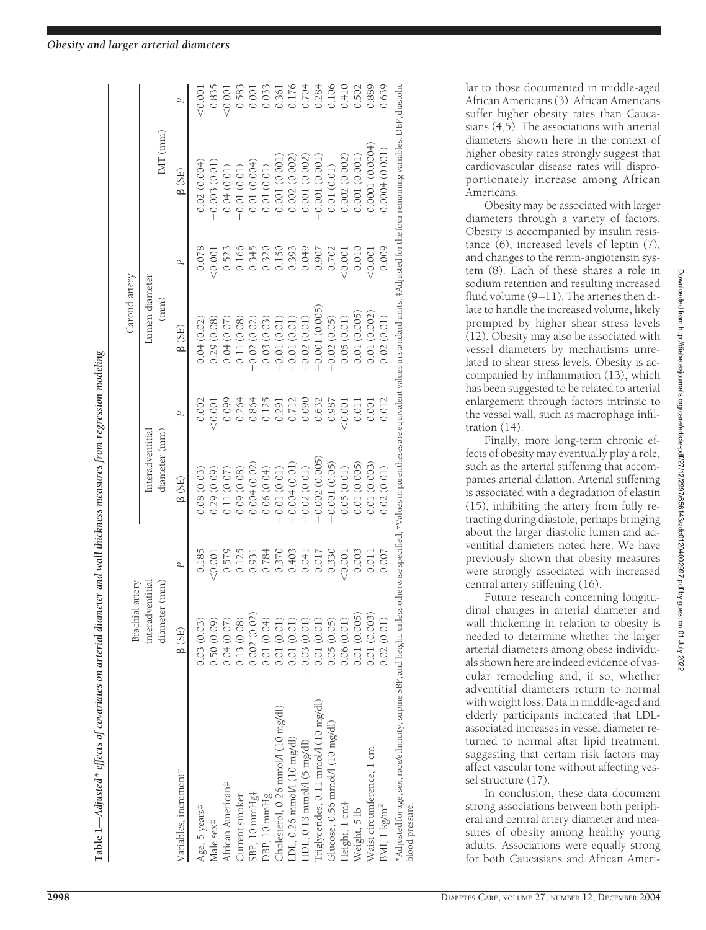| Interadventitial<br>diameter (mm)<br>$-0.002(0.005)$<br>$-0.001(0.05)$<br>0.004(0.02)<br>$-0.004(0.01)$<br>$-0.02(0.01)$<br>0.06(0.04)<br>0.09(0.08)<br>$-0.01(0.01)$<br>0.08(0.03)<br>0.11(0.07)<br>0.29(0.09)<br>B(SE)<br>0.185<br>0.125<br>0.931<br>0.784<br>0.330<br>0.579<br>0.403<br>0.370<br>$0.041$<br>0.017<br>0.001<br>Ρ<br>interadventitia<br>diameter (mm<br>Brachial artery<br>0.002(0.02)<br>0.13(0.08)<br>0.01(0.04)<br>0.04(0.07)<br>0.01(0.01)<br>0.01(0.01)<br>0.05(0.05)<br>0.03(0.03)<br>0.50(0.09)<br>0.01(0.01)<br>$-0.03(0.01)$<br>$\beta$ (SE)<br>[riglycerides, 0.11 mmol/l (10 mg/dl)<br>Cholesterol, 0.26 mmol/l (10 mg/dl)<br>Glucose, 0.56 mmol/l (10 mg/dl)<br>LDL, 0.26 mmol/l (10 mg/dl)<br>HDL, 0.13 mmol/l (5 mg/dl)<br>Variables, increment†<br>African American#<br>SBP, 10 mmHg <sup>‡</sup><br>DBP, 10 mmHg<br>Current smoker<br>Age, 5 years#<br>Male sex‡ |                                   | 0.002<br>0.264<br>0.099<br>0.864<br>0.001<br>Ρ | Lumen diameter<br>(mm)<br>0.04(0.02)<br>0.29(0.08)<br>0.04(0.07)<br>B(SE) | 0.078<br>ρ | $IMT$ (mm)<br>B (SE) |        |
|---------------------------------------------------------------------------------------------------------------------------------------------------------------------------------------------------------------------------------------------------------------------------------------------------------------------------------------------------------------------------------------------------------------------------------------------------------------------------------------------------------------------------------------------------------------------------------------------------------------------------------------------------------------------------------------------------------------------------------------------------------------------------------------------------------------------------------------------------------------------------------------------------|-----------------------------------|------------------------------------------------|---------------------------------------------------------------------------|------------|----------------------|--------|
|                                                                                                                                                                                                                                                                                                                                                                                                                                                                                                                                                                                                                                                                                                                                                                                                                                                                                                   |                                   |                                                |                                                                           |            |                      |        |
|                                                                                                                                                                                                                                                                                                                                                                                                                                                                                                                                                                                                                                                                                                                                                                                                                                                                                                   |                                   |                                                |                                                                           |            |                      |        |
|                                                                                                                                                                                                                                                                                                                                                                                                                                                                                                                                                                                                                                                                                                                                                                                                                                                                                                   |                                   |                                                |                                                                           |            | 0.02(0.004)          | 0.001  |
|                                                                                                                                                                                                                                                                                                                                                                                                                                                                                                                                                                                                                                                                                                                                                                                                                                                                                                   |                                   |                                                |                                                                           | 10.001     | 0.003(0.01)          | 0.835  |
|                                                                                                                                                                                                                                                                                                                                                                                                                                                                                                                                                                                                                                                                                                                                                                                                                                                                                                   |                                   |                                                |                                                                           | 0.523      | 0.04(0.01)           | 20.001 |
|                                                                                                                                                                                                                                                                                                                                                                                                                                                                                                                                                                                                                                                                                                                                                                                                                                                                                                   |                                   |                                                | 0.11(0.08)                                                                | 0.166      | 0.01(0.01)           | 0.583  |
|                                                                                                                                                                                                                                                                                                                                                                                                                                                                                                                                                                                                                                                                                                                                                                                                                                                                                                   |                                   |                                                | $-0.02(0.02)$                                                             | 0.345      | 0.01(0.004)          | 0.001  |
|                                                                                                                                                                                                                                                                                                                                                                                                                                                                                                                                                                                                                                                                                                                                                                                                                                                                                                   |                                   | 0.125                                          | 0.03(0.03)                                                                | 0.320      | 0.01(0.01)           | 0.033  |
|                                                                                                                                                                                                                                                                                                                                                                                                                                                                                                                                                                                                                                                                                                                                                                                                                                                                                                   |                                   | 0.291                                          | $-0.01(0.01)$                                                             | 0.150      | 0.001 (0.001         | 0.361  |
|                                                                                                                                                                                                                                                                                                                                                                                                                                                                                                                                                                                                                                                                                                                                                                                                                                                                                                   |                                   | 0.712                                          | $-0.01(0.01)$                                                             | 0.393      | 0.002(0.002)         |        |
|                                                                                                                                                                                                                                                                                                                                                                                                                                                                                                                                                                                                                                                                                                                                                                                                                                                                                                   |                                   | 0.090                                          | $-0.02(0.01)$                                                             | 0.049      | 0.001 (0.002)        | 0.176  |
|                                                                                                                                                                                                                                                                                                                                                                                                                                                                                                                                                                                                                                                                                                                                                                                                                                                                                                   |                                   | 0.632                                          | $-0.001(0.005)$                                                           | 0.907      | 0.001 (0.001)        | 0.284  |
|                                                                                                                                                                                                                                                                                                                                                                                                                                                                                                                                                                                                                                                                                                                                                                                                                                                                                                   |                                   | 0.987                                          | $-0.02(0.05)$                                                             | 0.702      | 0.01 (0.01)          | 0.106  |
| Height, 1 cm <sup>#</sup>                                                                                                                                                                                                                                                                                                                                                                                                                                                                                                                                                                                                                                                                                                                                                                                                                                                                         | 0.05(0.01)<br>0.001<br>0.06(0.01) | 0.001                                          | 0.05(0.01)                                                                | 0.001      | 0.002(0.002)         | 0.410  |
| 0.01(0.005)<br>0.003<br>0.01(0.005)<br>Weight, 5 lb                                                                                                                                                                                                                                                                                                                                                                                                                                                                                                                                                                                                                                                                                                                                                                                                                                               |                                   | 0.011                                          | 0.01(0.005)                                                               | 0.010      | 0.001(0.001)         | 0.502  |
| 0.01(0.003)<br>0.011<br>0.01(0.003)<br>Waist circumference, 1 cm                                                                                                                                                                                                                                                                                                                                                                                                                                                                                                                                                                                                                                                                                                                                                                                                                                  |                                   | 0.001                                          | 0.01 (0.002)                                                              | 50.001     | 0.0001 (0.0004)      | 0.889  |
| 0.02(0.01)<br>0.007<br>0.02(0.01)<br>BMI, $1 \text{ kg/m}^2$                                                                                                                                                                                                                                                                                                                                                                                                                                                                                                                                                                                                                                                                                                                                                                                                                                      |                                   | 0.012                                          | 0.02(0.01)                                                                | 0.009      | 0.0004(0.001)        | 0.639  |

Table 1—Adjusted\* effects of covariates on arterial diameter and wall thickness measures from regression modeling Adjusted\* effects of covariates on arterial diameter and wall thickness measures from regression modeling **Table 1—** lar to those documented in middle-aged African Americans (3). African Americans suffer higher obesity rates than Caucasians (4,5). The associations with arterial diameters shown here in the context of higher obesity rates strongly suggest that cardiovascular disease rates will disproportionately increase among African Americans.

Obesity may be associated with larger diameters through a variety of factors. Obesity is accompanied by insulin resistance (6), increased levels of leptin (7), and changes to the renin-angiotensin system (8). Each of these shares a role in sodium retention and resulting increased fluid volume (9-11). The arteries then dilate to handle the increased volume, likely prompted by higher shear stress levels (12). Obesity may also be associated with vessel diameters by mechanisms unrelated to shear stress levels. Obesity is accompanied by inflammation (13), which has been suggested to be related to arterial enlargement through factors intrinsic to the vessel wall, such as macrophage infiltration (14).

Finally, more long-term chronic effects of obesity may eventually play a role, such as the arterial stiffening that accompanies arterial dilation. Arterial stiffening is associated with a degradation of elastin (15), inhibiting the artery from fully retracting during diastole, perhaps bringing about the larger diastolic lumen and adventitial diameters noted here. We have previously shown that obesity measures were strongly associated with increased central artery stiffening (16).

Future research concerning longitudinal changes in arterial diameter and wall thickening in relation to obesity is needed to determine whether the larger arterial diameters among obese individuals shown here are indeed evidence of vascular remodeling and, if so, whether adventitial diameters return to normal with weight loss. Data in middle-aged and elderly participants indicated that LDLassociated increases in vessel diameter returned to normal after lipid treatment, suggesting that certain risk factors may affect vascular tone without affecting vessel structure (17).

In conclusion, these data document strong associations between both peripheral and central artery diameter and measures of obesity among healthy young adults. Associations were equally strong for both Caucasians and African Ameri-

blood pressure.

Downloaded from http://diabetesjournals.org/care/article-pdf/27/12/2997/656143/zdc01204002997.pdf by guest on 01 July 2022 Downloaded from http://diabetesjournals.org/care/article-pdf/27/12/2997/656143/zdc01204002997.pdf by guest on 01 July 2022